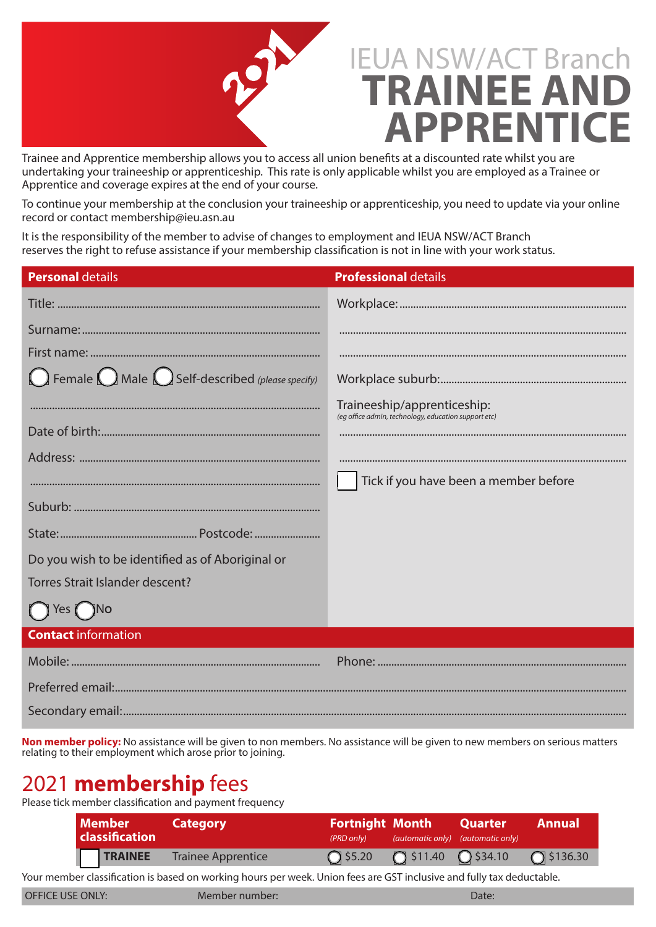

Trainee and Apprentice membership allows you to access all union benefits at a discounted rate whilst you are undertaking your traineeship or apprenticeship. This rate is only applicable whilst you are employed as a Trainee or Apprentice and coverage expires at the end of your course.

To continue your membership at the conclusion your traineeship or apprenticeship, you need to update via your online record or contact membership@ieu.asn.au

It is the responsibility of the member to advise of changes to employment and IEUA NSW/ACT Branch reserves the right to refuse assistance if your membership classification is not in line with your work status.

| <b>Personal details</b>                                                   | <b>Professional details</b>                          |
|---------------------------------------------------------------------------|------------------------------------------------------|
|                                                                           |                                                      |
|                                                                           |                                                      |
|                                                                           |                                                      |
| $\bigcap$ Female $\bigcap$ Male $\bigcap$ Self-described (please specify) |                                                      |
|                                                                           | Traineeship/apprenticeship:                          |
|                                                                           | (eg office admin, technology, education support etc) |
|                                                                           |                                                      |
|                                                                           | Tick if you have been a member before                |
|                                                                           |                                                      |
|                                                                           |                                                      |
| Do you wish to be identified as of Aboriginal or                          |                                                      |
| <b>Torres Strait Islander descent?</b>                                    |                                                      |
| $()$ Yes $()$ No                                                          |                                                      |
| <b>Contact information</b>                                                |                                                      |
|                                                                           |                                                      |
|                                                                           |                                                      |
|                                                                           |                                                      |

**Non member policy:** No assistance will be given to non members. No assistance will be given to new members on serious matters relating to their employment which arose prior to joining.

## 2021 **membership** fees

Please tick member classification and payment frequency

| <b>Member</b><br><b>classification</b> | <b>Category</b>           | (PRD only)       | <b>Fortnight Month Quarter</b>       | $(automatic only)$ $(automatic only)$ | <b>Annual</b>      |
|----------------------------------------|---------------------------|------------------|--------------------------------------|---------------------------------------|--------------------|
| <b>TRAINEE</b>                         | <b>Trainee Apprentice</b> | $\bigcap$ \$5.20 | $\bigcap$ \$11.40 $\bigcirc$ \$34.10 |                                       | $\bigcap$ \$136.30 |

Your member classification is based on working hours per week. Union fees are GST inclusive and fully tax deductable.

OFFICE USE ONLY: Member number: Date: Date: Date: Date: Date: Date: Date: Date: Date: Date: Date: Date: Date: Date: Date: Date: Date: Date: Date: Date: Date: Date: Date: Date: Date: Date: Date: Date: Date: Date: Date: Date